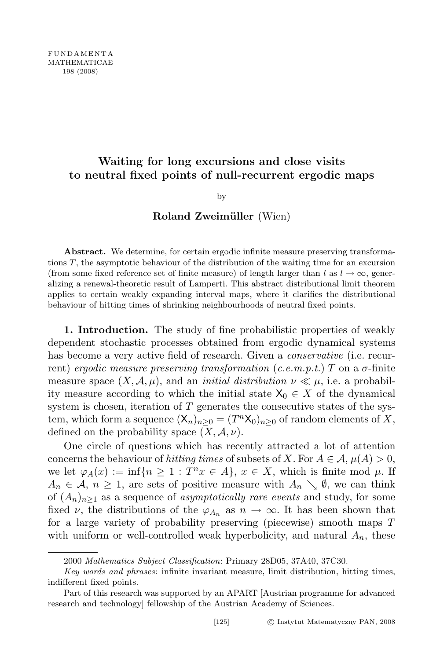# Waiting for long excursions and close visits to neutral fixed points of null-recurrent ergodic maps

## by

## Roland Zweimüller (Wien)

Abstract. We determine, for certain ergodic infinite measure preserving transformations T, the asymptotic behaviour of the distribution of the waiting time for an excursion (from some fixed reference set of finite measure) of length larger than l as  $l \to \infty$ , generalizing a renewal-theoretic result of Lamperti. This abstract distributional limit theorem applies to certain weakly expanding interval maps, where it clarifies the distributional behaviour of hitting times of shrinking neighbourhoods of neutral fixed points.

1. Introduction. The study of fine probabilistic properties of weakly dependent stochastic processes obtained from ergodic dynamical systems has become a very active field of research. Given a *conservative* (i.e. recurrent) ergodic measure preserving transformation (c.e.m.p.t.) T on a  $\sigma$ -finite measure space  $(X, \mathcal{A}, \mu)$ , and an *initial distribution*  $\nu \ll \mu$ , i.e. a probability measure according to which the initial state  $X_0 \in X$  of the dynamical system is chosen, iteration of  $T$  generates the consecutive states of the system, which form a sequence  $(\mathsf{X}_n)_{n\geq 0} = (T^n \mathsf{X}_0)_{n\geq 0}$  of random elements of X, defined on the probability space  $(X, \mathcal{A}, \nu)$ .

One circle of questions which has recently attracted a lot of attention concerns the behaviour of hitting times of subsets of X. For  $A \in \mathcal{A}, \mu(A) > 0$ , we let  $\varphi_A(x) := \inf\{n \geq 1 : T^n x \in A\}, x \in X$ , which is finite mod  $\mu$ . If  $A_n \in \mathcal{A}, n \geq 1$ , are sets of positive measure with  $A_n \searrow \emptyset$ , we can think of  $(A_n)_{n\geq 1}$  as a sequence of *asymptotically rare events* and study, for some fixed  $\nu$ , the distributions of the  $\varphi_{A_n}$  as  $n \to \infty$ . It has been shown that for a large variety of probability preserving (piecewise) smooth maps T with uniform or well-controlled weak hyperbolicity, and natural  $A_n$ , these

<sup>2000</sup> Mathematics Subject Classification: Primary 28D05, 37A40, 37C30.

Key words and phrases: infinite invariant measure, limit distribution, hitting times, indifferent fixed points.

Part of this research was supported by an APART [Austrian programme for advanced research and technology] fellowship of the Austrian Academy of Sciences.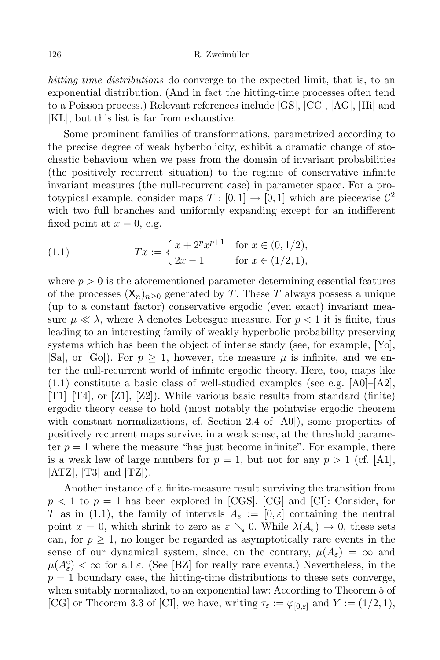126 R. Zweimüller

hitting-time distributions do converge to the expected limit, that is, to an exponential distribution. (And in fact the hitting-time processes often tend to a Poisson process.) Relevant references include [GS], [CC], [AG], [Hi] and [KL], but this list is far from exhaustive.

Some prominent families of transformations, parametrized according to the precise degree of weak hyberbolicity, exhibit a dramatic change of stochastic behaviour when we pass from the domain of invariant probabilities (the positively recurrent situation) to the regime of conservative infinite invariant measures (the null-recurrent case) in parameter space. For a prototypical example, consider maps  $T : [0,1] \to [0,1]$  which are piecewise  $\mathcal{C}^2$ with two full branches and uniformly expanding except for an indifferent fixed point at  $x = 0$ , e.g.

(1.1) 
$$
Tx := \begin{cases} x + 2^{p}x^{p+1} & \text{for } x \in (0, 1/2), \\ 2x - 1 & \text{for } x \in (1/2, 1), \end{cases}
$$

where  $p > 0$  is the aforementioned parameter determining essential features of the processes  $(X_n)_{n>0}$  generated by T. These T always possess a unique (up to a constant factor) conservative ergodic (even exact) invariant measure  $\mu \ll \lambda$ , where  $\lambda$  denotes Lebesgue measure. For  $p < 1$  it is finite, thus leading to an interesting family of weakly hyperbolic probability preserving systems which has been the object of intense study (see, for example, [Yo], [Sa], or [Go]). For  $p \geq 1$ , however, the measure  $\mu$  is infinite, and we enter the null-recurrent world of infinite ergodic theory. Here, too, maps like  $(1.1)$  constitute a basic class of well-studied examples (see e.g.  $[A0]-[A2]$ , [T1]–[T4], or [Z1], [Z2]). While various basic results from standard (finite) ergodic theory cease to hold (most notably the pointwise ergodic theorem with constant normalizations, cf. Section 2.4 of  $[A0]$ , some properties of positively recurrent maps survive, in a weak sense, at the threshold parameter  $p = 1$  where the measure "has just become infinite". For example, there is a weak law of large numbers for  $p = 1$ , but not for any  $p > 1$  (cf. [A1],  $[ATZ]$ ,  $[T3]$  and  $[TZ]$ ).

Another instance of a finite-measure result surviving the transition from  $p < 1$  to  $p = 1$  has been explored in [CGS], [CG] and [CI]: Consider, for T as in (1.1), the family of intervals  $A_{\varepsilon} := [0, \varepsilon]$  containing the neutral point  $x = 0$ , which shrink to zero as  $\varepsilon \searrow 0$ . While  $\lambda(A_{\varepsilon}) \to 0$ , these sets can, for  $p \geq 1$ , no longer be regarded as asymptotically rare events in the sense of our dynamical system, since, on the contrary,  $\mu(A_{\varepsilon}) = \infty$  and  $\mu(A_{\varepsilon}^{\rm c}) < \infty$  for all  $\varepsilon$ . (See [BZ] for really rare events.) Nevertheless, in the  $p = 1$  boundary case, the hitting-time distributions to these sets converge, when suitably normalized, to an exponential law: According to Theorem 5 of [CG] or Theorem 3.3 of [CI], we have, writing  $\tau_{\varepsilon} := \varphi_{[0,\varepsilon]}$  and  $Y := (1/2, 1)$ ,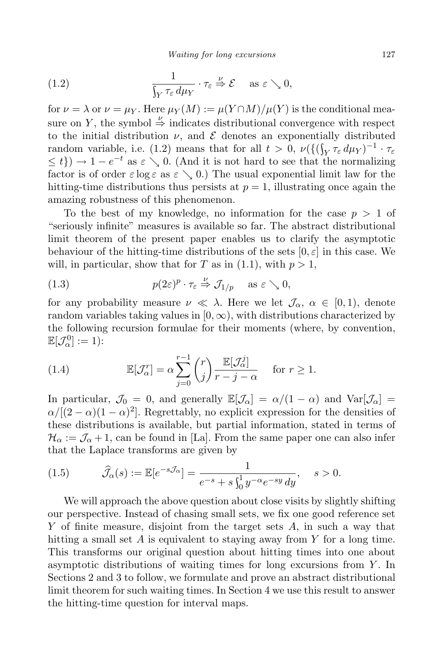(1.2) 
$$
\frac{1}{\int_Y \tau_{\varepsilon} d\mu_Y} \cdot \tau_{\varepsilon} \stackrel{\nu}{\Rightarrow} \mathcal{E} \quad \text{as } \varepsilon \searrow 0,
$$

for  $\nu = \lambda$  or  $\nu = \mu_Y$ . Here  $\mu_Y(M) := \mu(Y \cap M) / \mu(Y)$  is the conditional measure on Y, the symbol  $\stackrel{\nu}{\Rightarrow}$  indicates distributional convergence with respect to the initial distribution  $\nu$ , and  $\mathcal E$  denotes an exponentially distributed random variable, i.e. (1.2) means that for all  $t > 0$ ,  $\nu(\{(\int_Y \tau_\varepsilon d\mu_Y)^{-1} \cdot \tau_\varepsilon$  $\leq t\}) \to 1-e^{-t}$  as  $\varepsilon \searrow 0$ . (And it is not hard to see that the normalizing factor is of order  $\varepsilon \log \varepsilon$  as  $\varepsilon \searrow 0$ .) The usual exponential limit law for the hitting-time distributions thus persists at  $p = 1$ , illustrating once again the amazing robustness of this phenomenon.

To the best of my knowledge, no information for the case  $p > 1$  of "seriously infinite" measures is available so far. The abstract distributional limit theorem of the present paper enables us to clarify the asymptotic behaviour of the hitting-time distributions of the sets  $[0, \varepsilon]$  in this case. We will, in particular, show that for T as in  $(1.1)$ , with  $p > 1$ ,

(1.3) 
$$
p(2\varepsilon)^p \cdot \tau_{\varepsilon} \stackrel{\nu}{\Rightarrow} \mathcal{J}_{1/p} \quad \text{as } \varepsilon \searrow 0,
$$

for any probability measure  $\nu \ll \lambda$ . Here we let  $\mathcal{J}_{\alpha}, \alpha \in [0,1)$ , denote random variables taking values in  $[0, \infty)$ , with distributions characterized by the following recursion formulae for their moments (where, by convention,  $\mathbb{E}[\mathcal{J}_{\alpha}^0]:=1)$ :

(1.4) 
$$
\mathbb{E}[\mathcal{J}_{\alpha}^r] = \alpha \sum_{j=0}^{r-1} {r \choose j} \frac{\mathbb{E}[\mathcal{J}_{\alpha}^j]}{r-j-\alpha} \quad \text{for } r \ge 1.
$$

In particular,  $\mathcal{J}_0 = 0$ , and generally  $\mathbb{E}[\mathcal{J}_\alpha] = \alpha/(1 - \alpha)$  and  $\text{Var}[\mathcal{J}_\alpha] =$  $\alpha/[(2-\alpha)(1-\alpha)^2]$ . Regrettably, no explicit expression for the densities of these distributions is available, but partial information, stated in terms of  $\mathcal{H}_{\alpha} := \mathcal{J}_{\alpha} + 1$ , can be found in [La]. From the same paper one can also infer that the Laplace transforms are given by

(1.5) 
$$
\widehat{J}_{\alpha}(s) := \mathbb{E}[e^{-s\mathcal{J}_{\alpha}}] = \frac{1}{e^{-s} + s\int_{0}^{1} y^{-\alpha} e^{-sy} dy}, \quad s > 0.
$$

We will approach the above question about close visits by slightly shifting our perspective. Instead of chasing small sets, we fix one good reference set Y of finite measure, disjoint from the target sets A, in such a way that hitting a small set  $A$  is equivalent to staying away from  $Y$  for a long time. This transforms our original question about hitting times into one about asymptotic distributions of waiting times for long excursions from  $Y$ . In Sections 2 and 3 to follow, we formulate and prove an abstract distributional limit theorem for such waiting times. In Section 4 we use this result to answer the hitting-time question for interval maps.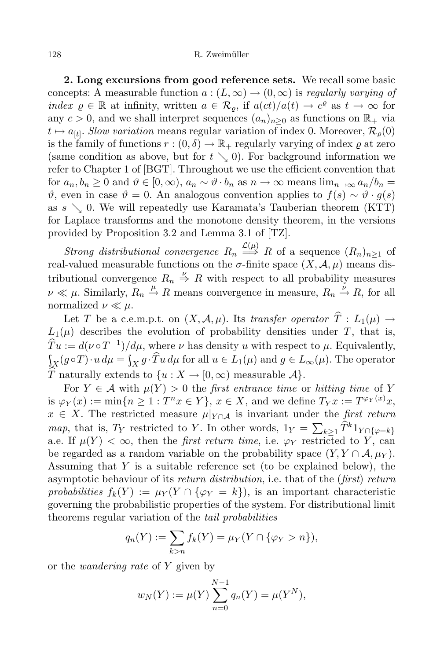2. Long excursions from good reference sets. We recall some basic concepts: A measurable function  $a:(L,\infty) \to (0,\infty)$  is regularly varying of index  $\varrho \in \mathbb{R}$  at infinity, written  $a \in \mathcal{R}_{\varrho}$ , if  $a(ct)/a(t) \to c^{\varrho}$  as  $t \to \infty$  for any  $c > 0$ , and we shall interpret sequences  $(a_n)_{n>0}$  as functions on  $\mathbb{R}_+$  via  $t \mapsto a_{[t]}$ . Slow variation means regular variation of index 0. Moreover,  $\mathcal{R}_{\varrho}(0)$ is the family of functions  $r:(0,\delta) \to \mathbb{R}_+$  regularly varying of index  $\rho$  at zero (same condition as above, but for  $t \searrow 0$ ). For background information we refer to Chapter 1 of [BGT]. Throughout we use the efficient convention that for  $a_n, b_n \geq 0$  and  $\vartheta \in [0, \infty), a_n \sim \vartheta \cdot b_n$  as  $n \to \infty$  means  $\lim_{n \to \infty} a_n/b_n =$  $\vartheta$ , even in case  $\vartheta = 0$ . An analogous convention applies to  $f(s) \sim \vartheta \cdot g(s)$ as  $s \searrow 0$ . We will repeatedly use Karamata's Tauberian theorem (KTT) for Laplace transforms and the monotone density theorem, in the versions provided by Proposition 3.2 and Lemma 3.1 of [TZ].

Strong distributional convergence  $R_n \stackrel{\mathcal{L}(\mu)}{\Longrightarrow} R$  of a sequence  $(R_n)_{n\geq 1}$  of real-valued measurable functions on the  $\sigma$ -finite space  $(X, \mathcal{A}, \mu)$  means distributional convergence  $R_n \stackrel{\nu}{\Rightarrow} R$  with respect to all probability measures  $\nu \ll \mu$ . Similarly,  $R_n \stackrel{\mu}{\rightarrow} R$  means convergence in measure,  $R_n \stackrel{\nu}{\rightarrow} R$ , for all normalized  $\nu \ll \mu$ .

Let T be a c.e.m.p.t. on  $(X, \mathcal{A}, \mu)$ . Its transfer operator  $\hat{T}: L_1(\mu) \rightarrow$  $L_1(\mu)$  describes the evolution of probability densities under T, that is,  $Tu := d(\nu \circ T^{-1})/d\mu$ , where  $\nu$  has density u with respect to  $\mu$ . Equivalently,  $\int_X (g \circ T) \cdot u \, d\mu = \int_X g \cdot Tu \, d\mu$  for all  $u \in L_1(\mu)$  and  $g \in L_\infty(\mu)$ . The operator  $\widehat{T}$  naturally extends to  $\{u : X \to [0, \infty) \}$  measurable  $\mathcal{A}\}.$ 

For  $Y \in \mathcal{A}$  with  $\mu(Y) > 0$  the *first entrance time* or *hitting time* of Y is  $\varphi_Y(x) := \min\{n \geq 1 : T^n x \in Y\}$ ,  $x \in X$ , and we define  $T_Y x := T^{\varphi_Y(x)} x$ ,  $x \in X$ . The restricted measure  $\mu|_{Y \cap A}$  is invariant under the first return map, that is,  $T_Y$  restricted to Y. In other words,  $1_Y = \sum_{k \geq 1} \hat{T}^k 1_{Y \cap \{\varphi = k\}}$ a.e. If  $\mu(Y) < \infty$ , then the *first return time*, i.e.  $\varphi_Y$  restricted to Y, can be regarded as a random variable on the probability space  $(Y, Y \cap A, \mu_Y)$ . Assuming that  $Y$  is a suitable reference set (to be explained below), the asymptotic behaviour of its return distribution, i.e. that of the (first) return probabilities  $f_k(Y) := \mu_Y(Y \cap {\varphi_Y = k}),$  is an important characteristic governing the probabilistic properties of the system. For distributional limit theorems regular variation of the tail probabilities

$$
q_n(Y) := \sum_{k>n} f_k(Y) = \mu_Y(Y \cap {\varphi_Y > n}),
$$

or the wandering rate of Y given by

$$
w_N(Y) := \mu(Y) \sum_{n=0}^{N-1} q_n(Y) = \mu(Y^N),
$$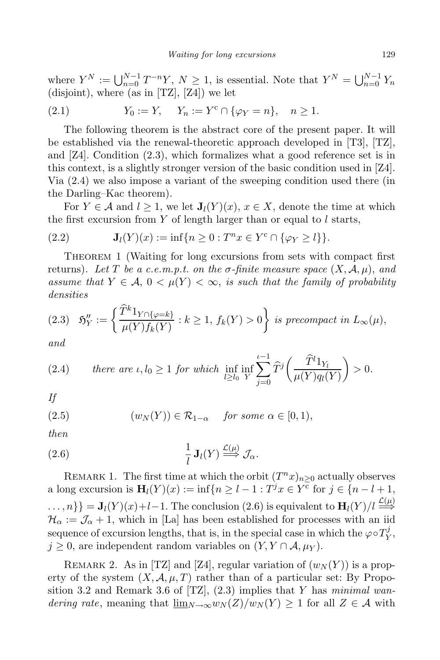where  $Y^N := \bigcup_{n=0}^{N-1} T^{-n} Y, N \geq 1$ , is essential. Note that  $Y^N = \bigcup_{n=0}^{N-1} Y_n$ (disjoint), where (as in [TZ], [Z4]) we let

(2.1) 
$$
Y_0 := Y
$$
,  $Y_n := Y^c \cap {\varphi_Y = n}$ ,  $n \ge 1$ .

The following theorem is the abstract core of the present paper. It will be established via the renewal-theoretic approach developed in [T3], [TZ], and [Z4]. Condition (2.3), which formalizes what a good reference set is in this context, is a slightly stronger version of the basic condition used in [Z4]. Via (2.4) we also impose a variant of the sweeping condition used there (in the Darling–Kac theorem).

For  $Y \in \mathcal{A}$  and  $l \geq 1$ , we let  $\mathbf{J}_l(Y)(x)$ ,  $x \in X$ , denote the time at which the first excursion from  $Y$  of length larger than or equal to  $l$  starts,

(2.2) 
$$
\mathbf{J}_l(Y)(x) := \inf \{ n \ge 0 : T^n x \in Y^c \cap \{ \varphi_Y \ge l \} \}.
$$

THEOREM 1 (Waiting for long excursions from sets with compact first returns). Let T be a c.e.m.p.t. on the  $\sigma$ -finite measure space  $(X, \mathcal{A}, \mu)$ , and assume that  $Y \in \mathcal{A}, 0 \lt \mu(Y) \lt \infty$ , is such that the family of probability densities

$$
(2.3) \quad \mathfrak{H}''_Y := \left\{ \frac{\widetilde{T}^k 1_{Y \cap \{\varphi = k\}}}{\mu(Y) f_k(Y)} : k \ge 1, \ f_k(Y) > 0 \right\} \ \text{is precompact in } L_\infty(\mu),
$$

and

(2.4) *there are* 
$$
\iota, l_0 \ge 1
$$
 *for which*  $\inf_{l \ge l_0} \inf_{Y} \sum_{j=0}^{l-1} \widehat{T}^j \left( \frac{\widehat{T}^l 1_{Y_l}}{\mu(Y) q_l(Y)} \right) > 0.$ 

If

(2.5) 
$$
(w_N(Y)) \in \mathcal{R}_{1-\alpha} \quad \text{for some } \alpha \in [0,1),
$$

then

(2.6) 
$$
\frac{1}{l} \mathbf{J}_l(Y) \stackrel{\mathcal{L}(\mu)}{\Longrightarrow} \mathcal{J}_\alpha.
$$

REMARK 1. The first time at which the orbit  $(T^n x)_{n\geq 0}$  actually observes a long excursion is  $\mathbf{H}_{l}(Y)(x) := \inf\{n \geq l - 1 : T^{j}x \in Y^{c} \text{ for } j \in \{n - l + 1, \}$  $\{\ldots, n\}\} = \mathbf{J}_l(Y)(x) + l - 1$ . The conclusion (2.6) is equivalent to  $\mathbf{H}_l(Y)/l \stackrel{\mathcal{L}(\mu)}{\Longrightarrow}$  $\mathcal{H}_{\alpha} := \mathcal{J}_{\alpha} + 1$ , which in [La] has been established for processes with an iid sequence of excursion lengths, that is, in the special case in which the  $\varphi \circ T_Y^j$ Y ,  $j \geq 0$ , are independent random variables on  $(Y, Y \cap A, \mu_Y)$ .

REMARK 2. As in [TZ] and [Z4], regular variation of  $(w_N(Y))$  is a property of the system  $(X, \mathcal{A}, \mu, T)$  rather than of a particular set: By Proposition 3.2 and Remark 3.6 of  $[TZ]$ ,  $(2.3)$  implies that Y has minimal wandering rate, meaning that  $\underline{\lim}_{N\to\infty}w_N(Z)/w_N(Y) \geq 1$  for all  $Z \in \mathcal{A}$  with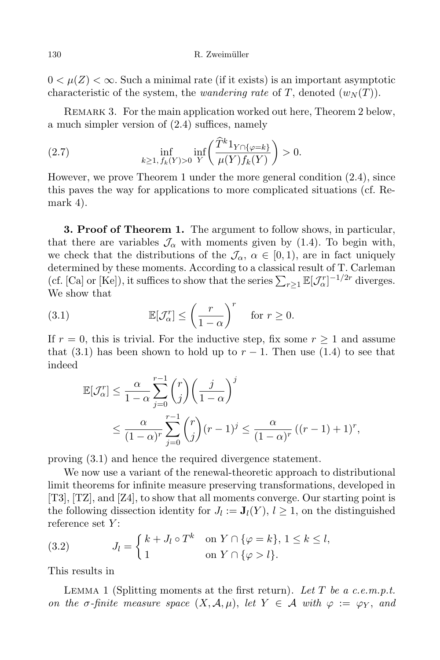$0 < \mu(Z) < \infty$ . Such a minimal rate (if it exists) is an important asymptotic characteristic of the system, the *wandering rate* of T, denoted  $(w_N(T))$ .

REMARK 3. For the main application worked out here, Theorem 2 below, a much simpler version of (2.4) suffices, namely

(2.7) 
$$
\inf_{k \ge 1, f_k(Y) > 0} \inf_{Y} \left( \frac{\widehat{T}^k 1_{Y \cap \{\varphi = k\}}}{\mu(Y) f_k(Y)} \right) > 0.
$$

However, we prove Theorem 1 under the more general condition (2.4), since this paves the way for applications to more complicated situations (cf. Remark 4).

3. Proof of Theorem 1. The argument to follow shows, in particular, that there are variables  $\mathcal{J}_{\alpha}$  with moments given by (1.4). To begin with, we check that the distributions of the  $\mathcal{J}_{\alpha}$ ,  $\alpha \in [0,1)$ , are in fact uniquely determined by these moments. According to a classical result of T. Carleman (cf. [Ca] or [Ke]), it suffices to show that the series  $\sum_{r\geq 1} \mathbb{E}[\mathcal{J}^r_\alpha]^{-1/2r}$  diverges. We show that

(3.1) 
$$
\mathbb{E}[\mathcal{J}_{\alpha}^{r}] \leq \left(\frac{r}{1-\alpha}\right)^{r} \quad \text{for } r \geq 0.
$$

If  $r = 0$ , this is trivial. For the inductive step, fix some  $r \geq 1$  and assume that (3.1) has been shown to hold up to  $r-1$ . Then use (1.4) to see that indeed

$$
\mathbb{E}[\mathcal{J}_{\alpha}^r] \leq \frac{\alpha}{1-\alpha} \sum_{j=0}^{r-1} {r \choose j} \left(\frac{j}{1-\alpha}\right)^j
$$
  
 
$$
\leq \frac{\alpha}{(1-\alpha)^r} \sum_{j=0}^{r-1} {r \choose j} (r-1)^j \leq \frac{\alpha}{(1-\alpha)^r} ((r-1)+1)^r,
$$

proving (3.1) and hence the required divergence statement.

We now use a variant of the renewal-theoretic approach to distributional limit theorems for infinite measure preserving transformations, developed in [T3], [TZ], and [Z4], to show that all moments converge. Our starting point is the following dissection identity for  $J_l := \mathbf{J}_l(Y)$ ,  $l \geq 1$ , on the distinguished reference set  $Y$ :

(3.2) 
$$
J_l = \begin{cases} k + J_l \circ T^k & \text{on } Y \cap \{ \varphi = k \}, \ 1 \le k \le l, \\ 1 & \text{on } Y \cap \{ \varphi > l \}. \end{cases}
$$

This results in

LEMMA 1 (Splitting moments at the first return). Let T be a c.e.m.p.t. on the  $\sigma$ -finite measure space  $(X, \mathcal{A}, \mu)$ , let  $Y \in \mathcal{A}$  with  $\varphi := \varphi_Y$ , and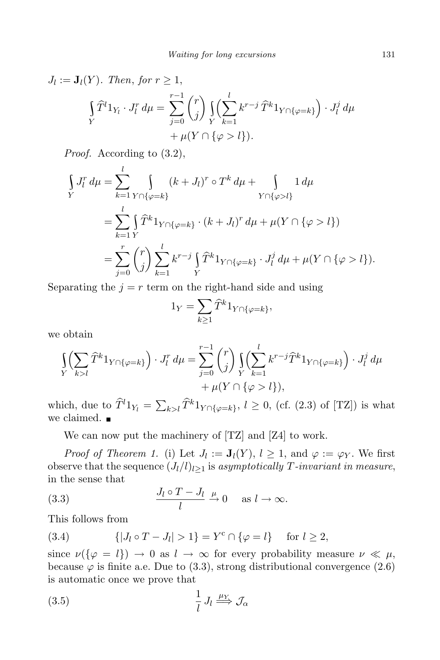$$
J_l := \mathbf{J}_l(Y). \text{ Then, for } r \ge 1,
$$
  
\n
$$
\int\limits_Y \widehat{T}^l 1_{Y_l} \cdot J_l^r d\mu = \sum_{j=0}^{r-1} \binom{r}{j} \left( \sum_{k=1}^l k^{r-j} \widehat{T}^k 1_{Y \cap \{\varphi = k\}} \right) \cdot J_l^j d\mu
$$
  
\n
$$
+ \mu(Y \cap \{\varphi > l\}).
$$

Proof. According to  $(3.2)$ ,

$$
\int_{Y} J_{l}^{r} d\mu = \sum_{k=1}^{l} \int_{Y \cap \{\varphi = k\}} (k + J_{l})^{r} \circ T^{k} d\mu + \int_{Y \cap \{\varphi > l\}} 1 d\mu
$$
\n
$$
= \sum_{k=1}^{l} \int_{Y} \widehat{T}^{k} 1_{Y \cap \{\varphi = k\}} \cdot (k + J_{l})^{r} d\mu + \mu(Y \cap \{\varphi > l\})
$$
\n
$$
= \sum_{j=0}^{r} {r \choose j} \sum_{k=1}^{l} k^{r-j} \int_{Y} \widehat{T}^{k} 1_{Y \cap \{\varphi = k\}} \cdot J_{l}^{j} d\mu + \mu(Y \cap \{\varphi > l\}).
$$

Separating the  $j = r$  term on the right-hand side and using

$$
1_Y = \sum_{k \ge 1} \widehat{T}^k 1_{Y \cap \{\varphi = k\}},
$$

we obtain

$$
\int_{Y} \left( \sum_{k>l} \widehat{T}^k 1_{Y \cap \{\varphi = k\}} \right) \cdot J_l^r d\mu = \sum_{j=0}^{r-1} {r \choose j} \int_{Y} \left( \sum_{k=1}^l k^{r-j} \widehat{T}^k 1_{Y \cap \{\varphi = k\}} \right) \cdot J_l^j d\mu + \mu(Y \cap \{\varphi > l\}),
$$

which, due to  $\widehat{T}^l 1_{Y_l} = \sum_{k>l} \widehat{T}^k 1_{Y \cap \{\varphi=k\}}, l \ge 0$ , (cf. (2.3) of [TZ]) is what we claimed.  $\blacksquare$ 

We can now put the machinery of [TZ] and [Z4] to work.

*Proof of Theorem 1.* (i) Let  $J_l := \mathbf{J}_l(Y)$ ,  $l \geq 1$ , and  $\varphi := \varphi_Y$ . We first observe that the sequence  $(J_l/l)_{l>1}$  is asymptotically T-invariant in measure, in the sense that

(3.3) 
$$
\frac{J_l \circ T - J_l}{l} \stackrel{\mu}{\to} 0 \quad \text{as } l \to \infty.
$$

This follows from

(3.4) 
$$
\{|J_l \circ T - J_l| > 1\} = Y^c \cap \{\varphi = l\} \text{ for } l \ge 2,
$$

since  $\nu(\{\varphi = l\}) \to 0$  as  $l \to \infty$  for every probability measure  $\nu \ll \mu$ , because  $\varphi$  is finite a.e. Due to (3.3), strong distributional convergence (2.6) is automatic once we prove that

$$
\frac{1}{l} J_l \stackrel{\mu_Y}{\Longrightarrow} \mathcal{J}_\alpha
$$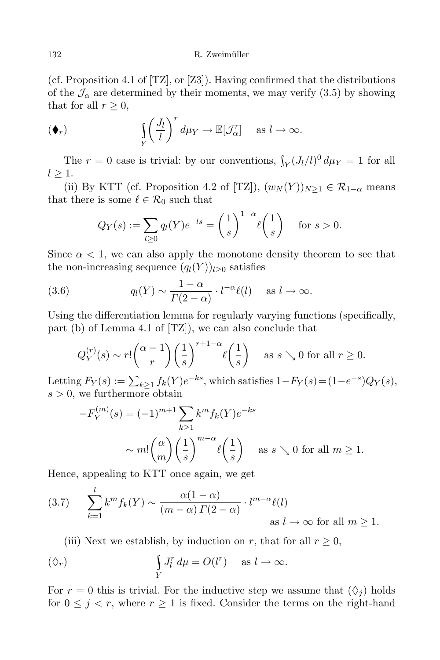### 132 R. Zweimüller

(cf. Proposition 4.1 of [TZ], or [Z3]). Having confirmed that the distributions of the  $\mathcal{J}_{\alpha}$  are determined by their moments, we may verify (3.5) by showing that for all  $r \geq 0$ ,

$$
(\blacklozenge_r) \qquad \qquad \iint_Y \left(\frac{J_l}{l}\right)^r d\mu_Y \to \mathbb{E}[\mathcal{J}^r_\alpha] \quad \text{as } l \to \infty.
$$

The  $r = 0$  case is trivial: by our conventions,  $\int_Y (J_l/l)^0 d\mu_Y = 1$  for all  $l > 1$ .

(ii) By KTT (cf. Proposition 4.2 of [TZ]),  $(w_N(Y))_{N>1} \in \mathcal{R}_{1-\alpha}$  means that there is some  $\ell \in \mathcal{R}_0$  such that

$$
Q_Y(s) := \sum_{l \ge 0} q_l(Y)e^{-ls} = \left(\frac{1}{s}\right)^{1-\alpha} \ell\left(\frac{1}{s}\right) \quad \text{for } s > 0.
$$

Since  $\alpha$  < 1, we can also apply the monotone density theorem to see that the non-increasing sequence  $(q_l(Y))_{l>0}$  satisfies

(3.6) 
$$
q_l(Y) \sim \frac{1-\alpha}{\Gamma(2-\alpha)} \cdot l^{-\alpha} \ell(l) \quad \text{as } l \to \infty.
$$

Using the differentiation lemma for regularly varying functions (specifically, part (b) of Lemma 4.1 of [TZ]), we can also conclude that

$$
Q_Y^{(r)}(s) \sim r! \binom{\alpha - 1}{r} \left(\frac{1}{s}\right)^{r+1-\alpha} \ell\left(\frac{1}{s}\right) \quad \text{as } s \searrow 0 \text{ for all } r \ge 0.
$$

Letting  $F_Y(s) := \sum_{k \geq 1} f_k(Y) e^{-ks}$ , which satisfies  $1 - F_Y(s) = (1 - e^{-s})Q_Y(s)$ ,  $s > 0$ , we furthermore obtain

$$
-F_Y^{(m)}(s) = (-1)^{m+1} \sum_{k \ge 1} k^m f_k(Y) e^{-ks}
$$

$$
\sim m! \binom{\alpha}{m} \left(\frac{1}{s}\right)^{m-\alpha} \ell\left(\frac{1}{s}\right) \quad \text{as } s \searrow 0 \text{ for all } m \ge 1.
$$

Hence, appealing to KTT once again, we get

(3.7) 
$$
\sum_{k=1}^{l} k^{m} f_{k}(Y) \sim \frac{\alpha(1-\alpha)}{(m-\alpha) \Gamma(2-\alpha)} \cdot l^{m-\alpha} \ell(l)
$$
as  $l \to \infty$  for all  $m \ge 1$ .

(iii) Next we establish, by induction on r, that for all  $r \geq 0$ ,

$$
\left(\diamondsuit_r\right) \qquad \qquad \int\limits_Y J_l^r \, d\mu = O(l^r) \quad \text{as } l \to \infty.
$$

For  $r = 0$  this is trivial. For the inductive step we assume that  $(\Diamond_i)$  holds for  $0 \leq j \leq r$ , where  $r \geq 1$  is fixed. Consider the terms on the right-hand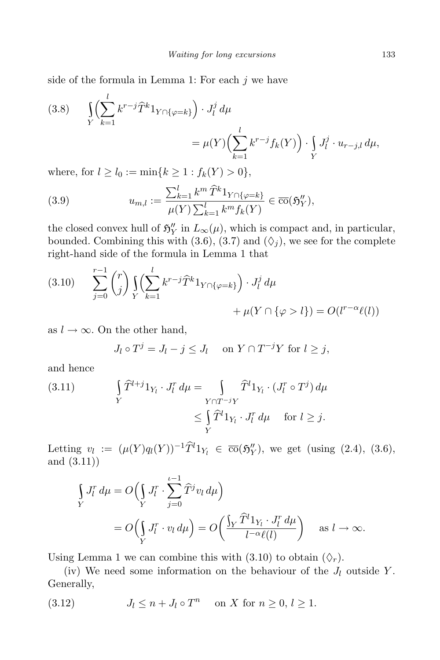side of the formula in Lemma 1: For each  $j$  we have

(3.8) 
$$
\int_{Y} \left( \sum_{k=1}^{i} k^{r-j} \hat{T}^{k} 1_{Y \cap \{\varphi = k\}} \right) \cdot J_{l}^{j} d\mu
$$

$$
= \mu(Y) \left( \sum_{k=1}^{l} k^{r-j} f_{k}(Y) \right) \cdot \int_{Y} J_{l}^{j} \cdot u_{r-j,l} d\mu,
$$

where, for  $l \ge l_0 := \min\{k \ge 1 : f_k(Y) > 0\},\$ 

(3.9) 
$$
u_{m,l} := \frac{\sum_{k=1}^{l} k^{m} \,\hat{T}^{k} 1_{Y \cap \{\varphi = k\}}}{\mu(Y) \sum_{k=1}^{l} k^{m} f_{k}(Y)} \in \overline{\text{co}}(\mathfrak{H}_{Y}^{''}),
$$

the closed convex hull of  $\mathfrak{H}'_Y$  in  $L_\infty(\mu)$ , which is compact and, in particular, bounded. Combining this with (3.6), (3.7) and ( $\Diamond$ <sub>i</sub>), we see for the complete right-hand side of the formula in Lemma 1 that

(3.10) 
$$
\sum_{j=0}^{r-1} {r \choose j} \int_{Y} \left( \sum_{k=1}^{l} k^{r-j} \hat{T}^{k} 1_{Y \cap \{\varphi = k\}} \right) \cdot J_{l}^{j} d\mu + \mu(Y \cap \{\varphi > l\}) = O(l^{r-\alpha}\ell(l))
$$

as  $l \to \infty$ . On the other hand,

l

$$
J_l \circ T^j = J_l - j \leq J_l \quad \text{on } Y \cap T^{-j}Y \text{ for } l \geq j,
$$

and hence

(3.11) 
$$
\int_{Y} \widehat{T}^{l+j} 1_{Y_l} \cdot J_l^r d\mu = \int_{Y \cap T^{-j}Y} \widehat{T}^l 1_{Y_l} \cdot (J_l^r \circ T^j) d\mu
$$

$$
\leq \int_{Y} \widehat{T}^l 1_{Y_l} \cdot J_l^r d\mu \quad \text{for } l \geq j.
$$

Letting  $v_l := (\mu(Y)q_l(Y))^{-1}\tilde{T}^l1_{Y_l} \in \overline{\text{co}}(\mathfrak{H}_Y'')$ , we get (using (2.4), (3.6), and (3.11))

$$
\int_{Y} J_{l}^{r} d\mu = O\left(\int_{Y} J_{l}^{r} \cdot \sum_{j=0}^{l-1} \widehat{T}^{j} v_{l} d\mu\right)
$$
\n
$$
= O\left(\int_{Y} J_{l}^{r} \cdot v_{l} d\mu\right) = O\left(\frac{\int_{Y} \widehat{T}^{l} 1_{Y_{l}} \cdot J_{l}^{r} d\mu}{l^{-\alpha} \ell(l)}\right) \quad \text{as } l \to \infty.
$$

Using Lemma 1 we can combine this with (3.10) to obtain  $(\Diamond_r)$ .

(iv) We need some information on the behaviour of the  $J_l$  outside Y. Generally,

(3.12)  $J_l \leq n + J_l \circ T^n$  on X for  $n \geq 0, l \geq 1$ .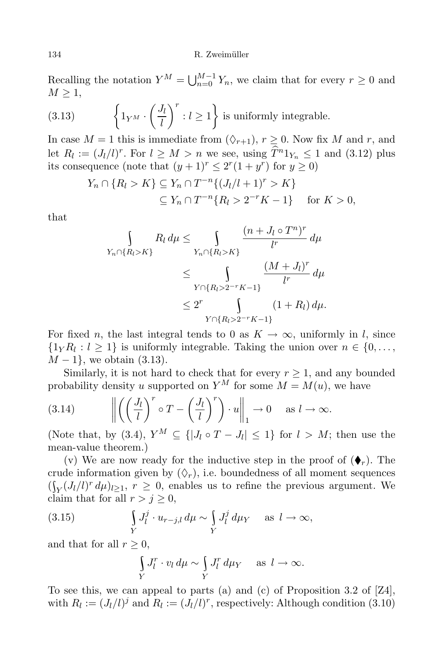Recalling the notation  $Y^M = \bigcup_{n=0}^{M-1} Y_n$ , we claim that for every  $r \geq 0$  and  $M \geq 1$ ,

(3.13) 
$$
\left\{1_{Y^M}\cdot \left(\frac{J_l}{l}\right)^r: l\geq 1\right\} \text{ is uniformly integrable.}
$$

In case  $M = 1$  this is immediate from  $(\Diamond_{r+1}), r \geq 0$ . Now fix M and r, and let  $R_l := (J_l/l)^r$ . For  $l \geq M > n$  we see, using  $T^n 1_{Y_n} \leq 1$  and  $(3.12)$  plus its consequence (note that  $(y+1)^r \leq 2^r(1+y^r)$  for  $y \geq 0$ )

$$
Y_n \cap \{R_l > K\} \subseteq Y_n \cap T^{-n}\{(J_l/l + 1)^r > K\}
$$
  
 
$$
\subseteq Y_n \cap T^{-n}\{R_l > 2^{-r}K - 1\} \quad \text{for } K > 0,
$$

that

$$
\int_{Y_n \cap \{R_l > K\}} R_l \, d\mu \le \int_{Y_n \cap \{R_l > K\}} \frac{(n + J_l \circ T^n)^r}{l^r} \, d\mu
$$
\n
$$
\le \int_{Y \cap \{R_l > 2^{-r}K - 1\}} \frac{(M + J_l)^r}{l^r} \, d\mu
$$
\n
$$
\le 2^r \int_{Y \cap \{R_l > 2^{-r}K - 1\}} (1 + R_l) \, d\mu.
$$

For fixed n, the last integral tends to 0 as  $K \to \infty$ , uniformly in l, since  $\{1_YR_l: l \geq 1\}$  is uniformly integrable. Taking the union over  $n \in \{0, \ldots, n\}$  $M-1$ , we obtain (3.13).

Similarly, it is not hard to check that for every  $r \geq 1$ , and any bounded probability density u supported on  $Y^M$  for some  $M = M(u)$ , we have

(3.14) 
$$
\left\| \left( \left( \frac{J_l}{l} \right)^r \circ T - \left( \frac{J_l}{l} \right)^r \right) \cdot u \right\|_1 \to 0 \quad \text{as } l \to \infty.
$$

(Note that, by (3.4),  $Y^M \subseteq \{ |J_l \circ T - J_l| \leq 1 \}$  for  $l > M$ ; then use the mean-value theorem.)

(v) We are now ready for the inductive step in the proof of  $(\blacklozenge_r)$ . The crude information given by  $(\Diamond_r)$ , i.e. boundedness of all moment sequences  $(\int_Y (J_l/l)^r d\mu)_{l \geq 1}$ ,  $r \geq 0$ , enables us to refine the previous argument. We claim that for all  $r > j \geq 0$ ,

(3.15) 
$$
\int\limits_Y J_l^j \cdot u_{r-j,l} \, d\mu \sim \int\limits_Y J_l^j \, d\mu_Y \quad \text{as } l \to \infty,
$$

and that for all  $r \geq 0$ ,

$$
\int\limits_Y J_l^r \cdot v_l \, d\mu \sim \int\limits_Y J_l^r \, d\mu_Y \quad \text{ as } l \to \infty.
$$

To see this, we can appeal to parts (a) and (c) of Proposition 3.2 of [Z4], with  $R_l := (J_l/l)^j$  and  $R_l := (J_l/l)^r$ , respectively: Although condition (3.10)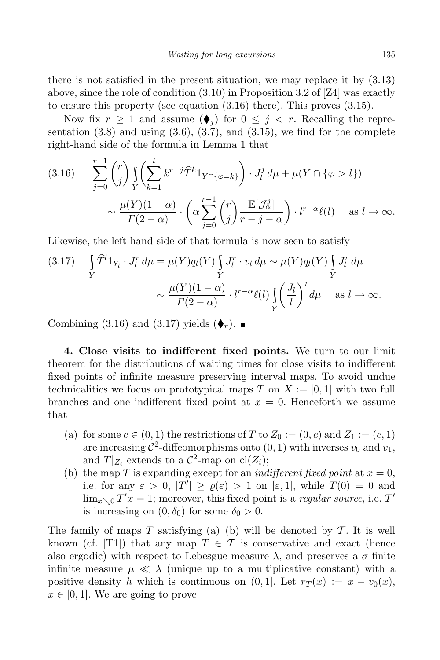there is not satisfied in the present situation, we may replace it by (3.13) above, since the role of condition (3.10) in Proposition 3.2 of [Z4] was exactly to ensure this property (see equation (3.16) there). This proves (3.15).

Now fix  $r \geq 1$  and assume  $(\blacklozenge_i)$  for  $0 \leq j \leq r$ . Recalling the representation  $(3.8)$  and using  $(3.6)$ ,  $(3.7)$ , and  $(3.15)$ , we find for the complete right-hand side of the formula in Lemma 1 that

$$
(3.16) \qquad \sum_{j=0}^{r-1} {r \choose j} \int_{Y} \left( \sum_{k=1}^{l} k^{r-j} \hat{T}^{k} 1_{Y \cap \{\varphi = k\}} \right) \cdot J_{l}^{j} d\mu + \mu(Y \cap \{\varphi > l\})
$$

$$
\sim \frac{\mu(Y)(1-\alpha)}{\Gamma(2-\alpha)} \cdot \left( \alpha \sum_{j=0}^{r-1} {r \choose j} \frac{\mathbb{E}[\mathcal{J}_{\alpha}^{j}]}{r-j-\alpha} \right) \cdot l^{r-\alpha} \ell(l) \quad \text{as } l \to \infty.
$$

Likewise, the left-hand side of that formula is now seen to satisfy

(3.17) 
$$
\int_{Y} \widehat{T}^{l} 1_{Y_{l}} \cdot J_{l}^{r} d\mu = \mu(Y) q_{l}(Y) \int_{Y} J_{l}^{r} \cdot v_{l} d\mu \sim \mu(Y) q_{l}(Y) \int_{Y} J_{l}^{r} d\mu
$$

$$
\sim \frac{\mu(Y)(1-\alpha)}{\Gamma(2-\alpha)} \cdot l^{r-\alpha} \ell(l) \int_{Y} \left(\frac{J_{l}}{l}\right)^{r} d\mu \quad \text{as } l \to \infty.
$$

Combining (3.16) and (3.17) yields  $(\blacklozenge_r)$ .

4. Close visits to indifferent fixed points. We turn to our limit theorem for the distributions of waiting times for close visits to indifferent fixed points of infinite measure preserving interval maps. To avoid undue technicalities we focus on prototypical maps T on  $X := [0, 1]$  with two full branches and one indifferent fixed point at  $x = 0$ . Henceforth we assume that

- (a) for some  $c \in (0,1)$  the restrictions of T to  $Z_0 := (0, c)$  and  $Z_1 := (c, 1)$ are increasing  $\mathcal{C}^2$ -diffeomorphisms onto  $(0, 1)$  with inverses  $v_0$  and  $v_1$ , and  $T|_{Z_i}$  extends to a  $\mathcal{C}^2$ -map on  $\text{cl}(Z_i)$ ;
- (b) the map T is expanding except for an *indifferent fixed point* at  $x = 0$ , i.e. for any  $\varepsilon > 0$ ,  $|T'| \ge \varrho(\varepsilon) > 1$  on  $[\varepsilon, 1]$ , while  $T(0) = 0$  and  $\lim_{x\searrow 0} T'x = 1$ ; moreover, this fixed point is a *regular source*, i.e. T' is increasing on  $(0, \delta_0)$  for some  $\delta_0 > 0$ .

The family of maps T satisfying (a)–(b) will be denoted by  $T$ . It is well known (cf. [T1]) that any map  $T \in \mathcal{T}$  is conservative and exact (hence also ergodic) with respect to Lebesgue measure  $\lambda$ , and preserves a  $\sigma$ -finite infinite measure  $\mu \ll \lambda$  (unique up to a multiplicative constant) with a positive density h which is continuous on  $(0, 1]$ . Let  $r_T(x) := x - v_0(x)$ ,  $x \in [0, 1]$ . We are going to prove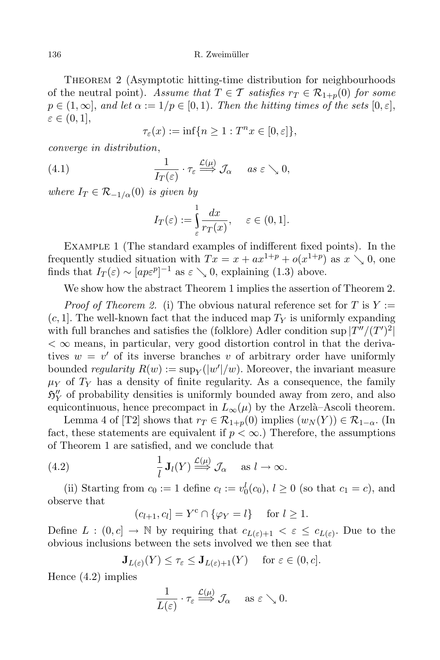THEOREM 2 (Asymptotic hitting-time distribution for neighbourhoods of the neutral point). Assume that  $T \in \mathcal{T}$  satisfies  $r_T \in \mathcal{R}_{1+n}(0)$  for some  $p \in (1,\infty]$ , and let  $\alpha := 1/p \in [0,1)$ . Then the hitting times of the sets  $[0,\varepsilon]$ ,  $\varepsilon \in (0,1],$ 

 $\tau_{\varepsilon}(x) := \inf\{n \geq 1 : T^n x \in [0, \varepsilon]\},\$ 

converge in distribution,

(4.1) 
$$
\frac{1}{I_T(\varepsilon)} \cdot \tau_{\varepsilon} \stackrel{\mathcal{L}(\mu)}{\Longrightarrow} \mathcal{J}_{\alpha} \quad \text{as } \varepsilon \searrow 0,
$$

where  $I_T \in \mathcal{R}_{-1/\alpha}(0)$  is given by

$$
I_T(\varepsilon) := \int_{\varepsilon}^1 \frac{dx}{r_T(x)}, \quad \varepsilon \in (0, 1].
$$

EXAMPLE 1 (The standard examples of indifferent fixed points). In the frequently studied situation with  $Tx = x + ax^{1+p} + o(x^{1+p})$  as  $x \searrow 0$ , one finds that  $I_T(\varepsilon) \sim [a p \varepsilon^p]^{-1}$  as  $\varepsilon \searrow 0$ , explaining (1.3) above.

We show how the abstract Theorem 1 implies the assertion of Theorem 2.

*Proof of Theorem 2.* (i) The obvious natural reference set for T is  $Y :=$  $(c, 1]$ . The well-known fact that the induced map  $T_Y$  is uniformly expanding with full branches and satisfies the (folklore) Adler condition sup  $|T''/(T')^2|$  $<$   $\infty$  means, in particular, very good distortion control in that the derivatives  $w = v'$  of its inverse branches v of arbitrary order have uniformly bounded *regularity*  $R(w) := \sup_Y(|w'|/w)$ . Moreover, the invariant measure  $\mu_Y$  of  $T_Y$  has a density of finite regularity. As a consequence, the family  $\mathfrak{H}_{Y}''$  of probability densities is uniformly bounded away from zero, and also equicontinuous, hence precompact in  $L_{\infty}(\mu)$  by the Arzelà–Ascoli theorem.

Lemma 4 of [T2] shows that  $r_T \in \mathcal{R}_{1+p}(0)$  implies  $(w_N(Y)) \in \mathcal{R}_{1-\alpha}$ . (In fact, these statements are equivalent if  $p < \infty$ .) Therefore, the assumptions of Theorem 1 are satisfied, and we conclude that

(4.2) 
$$
\frac{1}{l} \mathbf{J}_l(Y) \stackrel{\mathcal{L}(\mu)}{\Longrightarrow} \mathcal{J}_\alpha \quad \text{as } l \to \infty.
$$

(ii) Starting from  $c_0 := 1$  define  $c_l := v_0^l(c_0), l \ge 0$  (so that  $c_1 = c$ ), and observe that

$$
(c_{l+1}, c_l] = Y^c \cap \{ \varphi_Y = l \} \quad \text{for } l \ge 1.
$$

Define  $L : (0, c] \to \mathbb{N}$  by requiring that  $c_{L(\varepsilon)+1} < \varepsilon \leq c_{L(\varepsilon)}$ . Due to the obvious inclusions between the sets involved we then see that

$$
\mathbf{J}_{L(\varepsilon)}(Y) \le \tau_{\varepsilon} \le \mathbf{J}_{L(\varepsilon)+1}(Y) \quad \text{ for } \varepsilon \in (0, c].
$$

Hence (4.2) implies

$$
\frac{1}{L(\varepsilon)} \cdot \tau_{\varepsilon} \xrightarrow{\mathcal{L}(\mu)} \mathcal{J}_{\alpha} \quad \text{ as } \varepsilon \searrow 0.
$$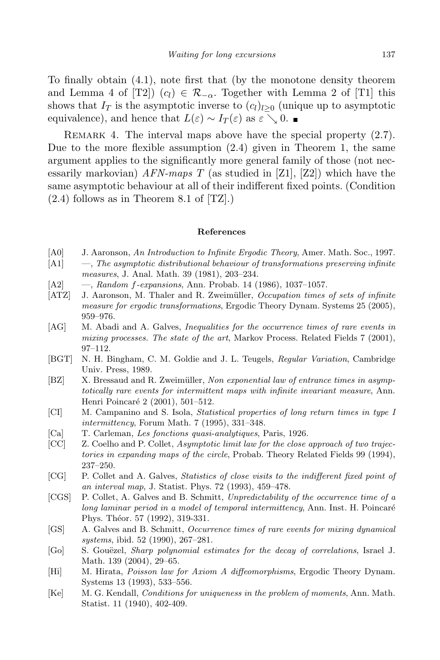To finally obtain (4.1), note first that (by the monotone density theorem and Lemma 4 of [T2])  $(c_l) \in \mathcal{R}_{-\alpha}$ . Together with Lemma 2 of [T1] this shows that  $I_T$  is the asymptotic inverse to  $(c_l)_{l>0}$  (unique up to asymptotic equivalence), and hence that  $L(\varepsilon) \sim I_T(\varepsilon)$  as  $\varepsilon \searrow 0$ .

REMARK 4. The interval maps above have the special property  $(2.7)$ . Due to the more flexible assumption  $(2.4)$  given in Theorem 1, the same argument applies to the significantly more general family of those (not necessarily markovian) AFN-maps T (as studied in [Z1], [Z2]) which have the same asymptotic behaviour at all of their indifferent fixed points. (Condition  $(2.4)$  follows as in Theorem 8.1 of  $[TZ]$ .)

### References

- [A0] J. Aaronson, An Introduction to Infinite Ergodic Theory, Amer. Math. Soc., 1997.
- $[{\rm A1}] \quad -$ , The asymptotic distributional behaviour of transformations preserving infinite measures, J. Anal. Math. 39 (1981), 203–234.
- [A2] —, Random f-expansions, Ann. Probab. 14 (1986), 1037–1057.
- [ATZ] J. Aaronson, M. Thaler and R. Zweimüller, Occupation times of sets of infinite measure for ergodic transformations, Ergodic Theory Dynam. Systems 25 (2005), 959–976.
- [AG] M. Abadi and A. Galves, Inequalities for the occurrence times of rare events in mixing processes. The state of the art, Markov Process. Related Fields 7 (2001), 97–112.
- [BGT] N. H. Bingham, C. M. Goldie and J. L. Teugels, Regular Variation, Cambridge Univ. Press, 1989.
- [BZ] X. Bressaud and R. Zweimüller, Non exponential law of entrance times in asymptotically rare events for intermittent maps with infinite invariant measure, Ann. Henri Poincaré 2 (2001), 501-512.
- [CI] M. Campanino and S. Isola, Statistical properties of long return times in type I intermittency, Forum Math. 7 (1995), 331–348.
- [Ca] T. Carleman, Les fonctions quasi-analytiques, Paris, 1926.
- [CC] Z. Coelho and P. Collet, Asymptotic limit law for the close approach of two trajectories in expanding maps of the circle, Probab. Theory Related Fields 99 (1994), 237–250.
- [CG] P. Collet and A. Galves, Statistics of close visits to the indifferent fixed point of an interval map, J. Statist. Phys. 72 (1993), 459–478.
- [CGS] P. Collet, A. Galves and B. Schmitt, Unpredictability of the occurrence time of a long laminar period in a model of temporal intermittency, Ann. Inst. H. Poincaré Phys. Théor. 57 (1992), 319-331.
- [GS] A. Galves and B. Schmitt, Occurrence times of rare events for mixing dynamical systems, ibid. 52 (1990), 267–281.
- [Go] S. Gouëzel, Sharp polynomial estimates for the decay of correlations, Israel J. Math. 139 (2004), 29–65.
- [Hi] M. Hirata, Poisson law for Axiom A diffeomorphisms, Ergodic Theory Dynam. Systems 13 (1993), 533–556.
- [Ke] M. G. Kendall, Conditions for uniqueness in the problem of moments, Ann. Math. Statist. 11 (1940), 402-409.